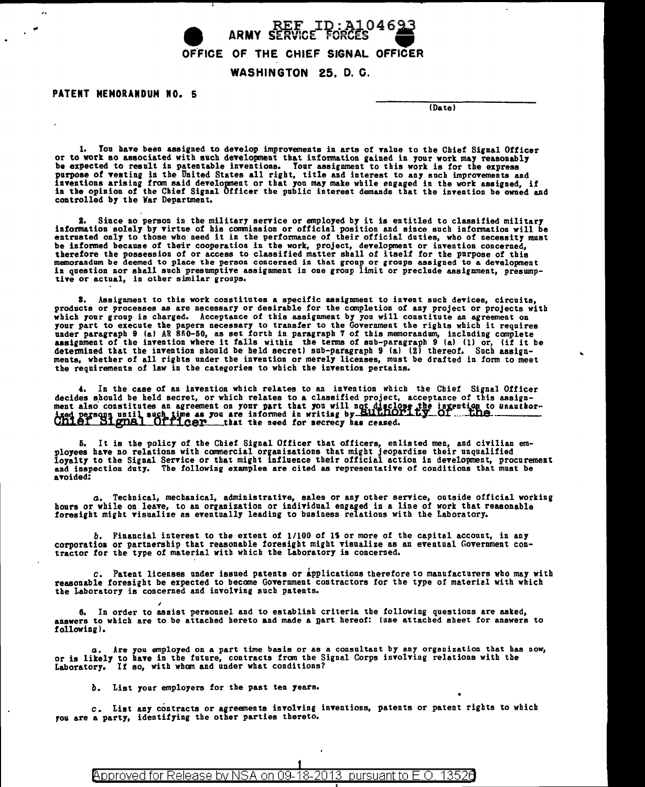

PATENT MEMORANDUM NO. 5

 $\sim$ 

IDa tel

..

1. You have been assigned to develop improvements in arts of value to the Chief Signal Officer<br>or to work so associated with such development that information gained in your work may reasonably<br>be expected to result in pat purpose of vesting in the United States all right, title and interest to any such improvements and inventions arising from said development or that you may make while engaged in the work assigned, if<br>in the opinion of the Chief Signal Officer the public interest demands that the invention be owned and controlled by the War Department.

z. Since no person in the military service or employed by it is entitled to classified military information solely by virtue of his commission or official position and since such iafo~atioa will be entrusted only to those who need it in the performance of their official duties, who of necessity must<br>be informed because of their cooperation in the work, project, development or invention concerned,<br>therefore the posses memorandum be deemed to place the person concerned in that group or groups assigned to a development<br>in question nor shall such presumptive assignment in one group limit or preclude assignment, presump-<br>tive or actual, in

a. Assigument to this work constitutes a specific assignment to invent such devices, circuits, products or processes as are necessary or desirable for the completion of any project or projects with which your group is charged. Acceptance of this assignment by you will constitute an agreement on<br>your part to execute the papers necessary to transfer to the Government the rights which it requires<br>under paragraph 9 (a) A ments, whether of all rights under the invention or merely licenses, must be drafted in form to meet the requirements of law in the categories to which the invention pertains.

4. In the case of an invention which relates to an invention which the Chief Signal Officer decides should be held secret, or which relates to a classified project, acceptance of this assignment also constitutes an agreement on your part that you will not disclose the ingention to unauthordecides should be held secret, or which relates to a classified project, acceptance of this assignment also constitutes an agreement on your part that you will not disclose the invention to unauthorized persons until such

5. It is the policy of the Chief Signal Officer that officers, enlisted men, and civilian em-<br>ployees have no relations with commercial organizations that might jeopardize their unqualified<br>loyalty to the Signal Service or avoided:

G, Technical, mechanical, administrative, sales or any other service, outside official working hours or while on leave, to an organization or individual engaged in a line of work that reasonable foresight might visualize as eventually leading to business relations with the Laboratory.

b. Financial interest to the extent of 1/100 of 1% or more of the capital account, in any corporation or partnership that reasonable foresight might visualize as an eventual Government contractor for the type of material w

*c.* Patent licenses under issued patents or tpplications therefore to manufacturers who may with reasonable foresight be expected to become Government contractors for the type of material with which the Laboratory is concerned and involving such patents.

, 6. In order to assist personnel and to establish criteria the following questions are asked, answers to which are to be attached hereto and made a nart hereof: lose attached sheet for answers to following!.

a. Are you employed on a part time basis or as a consultant by any organization that has now, or is likely to have in the future, contracts from the Signal Corps involving relations with the Laboratory. If so, with whom and under what conditions?

*b.* List your employers for the past ten years.

*c.* List any contracts or agreements involving inventions, patents or patent rights to which rou are a party, identifying the other parties thereto.

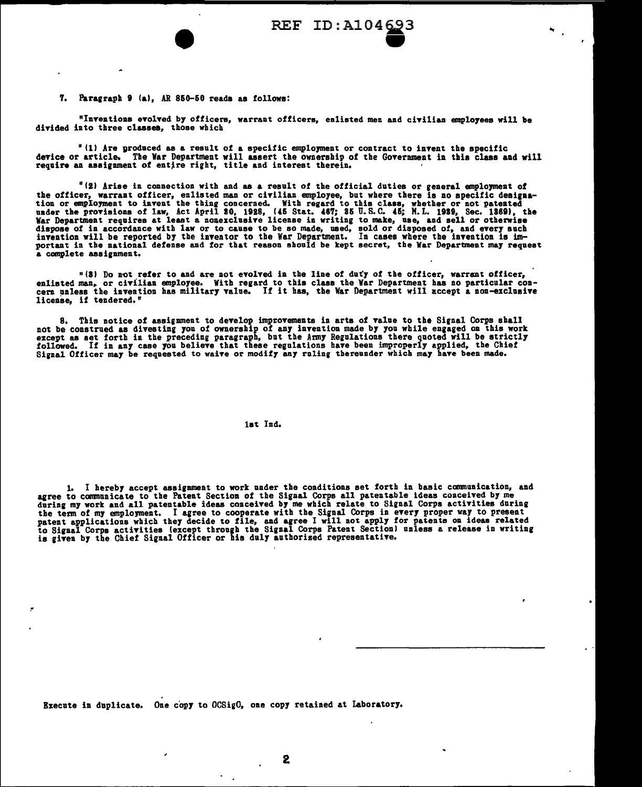## 7. Paragraph 9 (a). AR 850-50 reads as follows:

"Inventions evolved by officers, warrant officers, enlisted men and civilian employees will be divided into three classes, those which

"(1) Are produced as a result of a specific employment or contract to invent the specific<br>device or article. The War Department will assert the ownership of the Government in this class and will require an assignment of entire right, title and interest therein.

"(2) Arise in connection with and as a result of the official duties or general employment of "IZ Arise in connection with and as a result of the official duties or general employment of<br>the officer, warrant officer, enlisted man or civilian employee, but where there is no specific designa-<br>tion or employment to in a complete assignment.

"(3) Do not refer to and are not evolved in the line of duty of the officer, warrant officer,<br>enlisted man, or civilian employee. With regard to this class the War Department has no particular concern unless the invention license, if tendered."

8. This notice of assignment to develop improvements in arts of value to the Signal Corps shall of the constructed as divesting you of care in the set of the set of the set of the construction and the except as set forth in the preceding paragraph, but the Army Regulations there quoted will be strictly followed. If i

## lat Ind.

1. I hereby accept assignment to work under the conditions set forth in basic communication, and agree to communicate to the Patent Section of the Signal Corps all patentable ideas conceived by me agree to communicate to the rate in the signal corps activities during<br>the term of my employment. I agree to cooperate with the Signal Corps activities during<br>the term of my employment. I agree to cooperate with the Signal

Execute in duplicate. One copy to OCSigO, one copy retained at Laboratory.

 $\overline{\phantom{a}}$